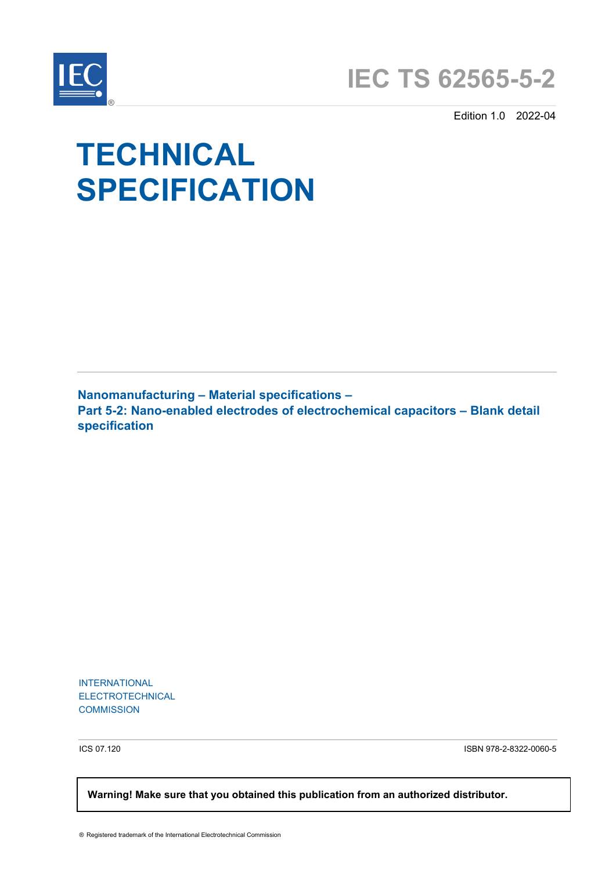



Edition 1.0 2022-04

# **TECHNICAL SPECIFICATION**

**Nanomanufacturing – Material specifications – Part 5-2: Nano-enabled electrodes of electrochemical capacitors – Blank detail specification** 

INTERNATIONAL ELECTROTECHNICAL **COMMISSION** 

ICS 07.120 ISBN 978-2-8322-0060-5

 **Warning! Make sure that you obtained this publication from an authorized distributor.**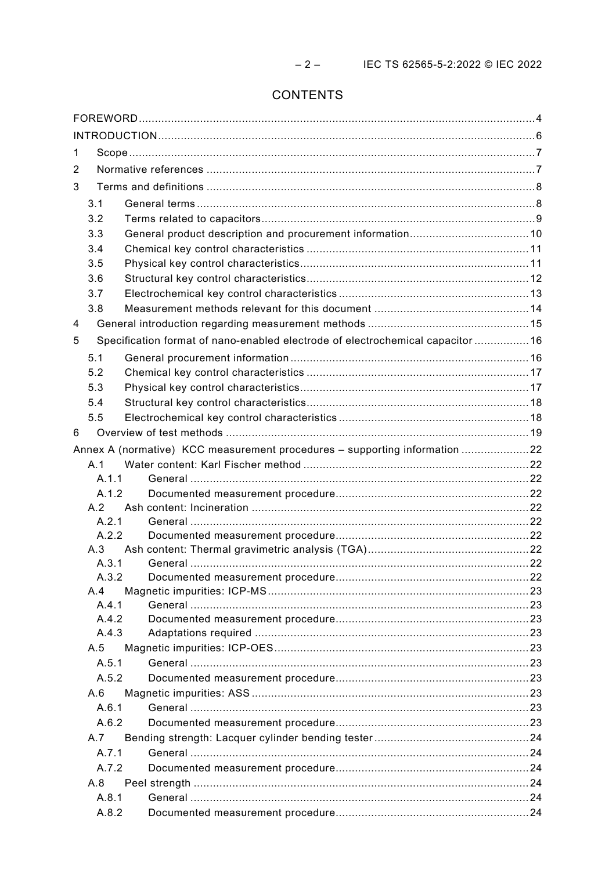# CONTENTS

| 1 |              |                                                                                 |  |  |  |  |  |
|---|--------------|---------------------------------------------------------------------------------|--|--|--|--|--|
| 2 |              |                                                                                 |  |  |  |  |  |
| 3 |              |                                                                                 |  |  |  |  |  |
|   | 3.1          |                                                                                 |  |  |  |  |  |
|   | 3.2          |                                                                                 |  |  |  |  |  |
|   | 3.3          |                                                                                 |  |  |  |  |  |
|   | 3.4          |                                                                                 |  |  |  |  |  |
|   | 3.5          |                                                                                 |  |  |  |  |  |
|   | 3.6          |                                                                                 |  |  |  |  |  |
|   | 3.7          |                                                                                 |  |  |  |  |  |
|   | 3.8          |                                                                                 |  |  |  |  |  |
| 4 |              |                                                                                 |  |  |  |  |  |
| 5 |              | Specification format of nano-enabled electrode of electrochemical capacitor  16 |  |  |  |  |  |
|   |              |                                                                                 |  |  |  |  |  |
|   | 5.1          |                                                                                 |  |  |  |  |  |
|   | 5.2          |                                                                                 |  |  |  |  |  |
|   | 5.3          |                                                                                 |  |  |  |  |  |
|   | 5.4          |                                                                                 |  |  |  |  |  |
|   | 5.5          |                                                                                 |  |  |  |  |  |
| 6 |              |                                                                                 |  |  |  |  |  |
|   |              | Annex A (normative) KCC measurement procedures - supporting information 22      |  |  |  |  |  |
|   | A.1          |                                                                                 |  |  |  |  |  |
|   | A.1.1        |                                                                                 |  |  |  |  |  |
|   | A.1.2        |                                                                                 |  |  |  |  |  |
|   | A.2<br>A.2.1 |                                                                                 |  |  |  |  |  |
|   | A.2.2        |                                                                                 |  |  |  |  |  |
|   | A.3          |                                                                                 |  |  |  |  |  |
|   | A.3.1        |                                                                                 |  |  |  |  |  |
|   | A.3.2        |                                                                                 |  |  |  |  |  |
|   | A.4          |                                                                                 |  |  |  |  |  |
|   | A.4.1        |                                                                                 |  |  |  |  |  |
|   | A.4.2        |                                                                                 |  |  |  |  |  |
|   | A.4.3        |                                                                                 |  |  |  |  |  |
|   | A.5          |                                                                                 |  |  |  |  |  |
|   | A.5.1        |                                                                                 |  |  |  |  |  |
|   | A.5.2        |                                                                                 |  |  |  |  |  |
|   | A.6          |                                                                                 |  |  |  |  |  |
|   | A.6.1        |                                                                                 |  |  |  |  |  |
|   | A.6.2        |                                                                                 |  |  |  |  |  |
|   | A.7          |                                                                                 |  |  |  |  |  |
|   | A.7.1        |                                                                                 |  |  |  |  |  |
|   | A.7.2        |                                                                                 |  |  |  |  |  |
|   | A.8          |                                                                                 |  |  |  |  |  |
|   | A.8.1        |                                                                                 |  |  |  |  |  |
|   | A.8.2        |                                                                                 |  |  |  |  |  |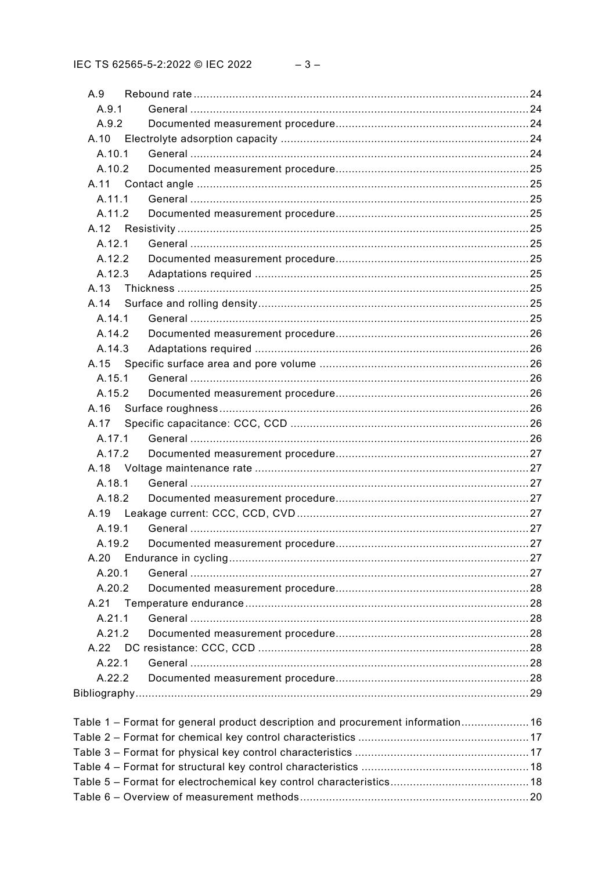| A.9    |                                                                                 |  |
|--------|---------------------------------------------------------------------------------|--|
| A.9.1  |                                                                                 |  |
| A.9.2  |                                                                                 |  |
|        |                                                                                 |  |
| A.10.1 |                                                                                 |  |
| A.10.2 |                                                                                 |  |
| A.11   |                                                                                 |  |
| A.11.1 |                                                                                 |  |
| A.11.2 |                                                                                 |  |
| A.12   |                                                                                 |  |
| A.12.1 |                                                                                 |  |
| A.12.2 |                                                                                 |  |
| A.12.3 |                                                                                 |  |
| A.13   |                                                                                 |  |
| A.14   |                                                                                 |  |
| A.14.1 |                                                                                 |  |
| A.14.2 |                                                                                 |  |
| A.14.3 |                                                                                 |  |
| A.15   |                                                                                 |  |
| A.15.1 |                                                                                 |  |
| A.15.2 |                                                                                 |  |
| A.16   |                                                                                 |  |
| A.17   |                                                                                 |  |
| A.17.1 |                                                                                 |  |
| A.17.2 |                                                                                 |  |
|        |                                                                                 |  |
| A.18.1 |                                                                                 |  |
| A.18.2 |                                                                                 |  |
| A.19   |                                                                                 |  |
| A.19.1 |                                                                                 |  |
|        |                                                                                 |  |
| A.20   |                                                                                 |  |
| A.20.1 |                                                                                 |  |
| A.20.2 |                                                                                 |  |
| A.21   |                                                                                 |  |
| A.21.1 |                                                                                 |  |
| A.21.2 |                                                                                 |  |
|        |                                                                                 |  |
| A.22.1 |                                                                                 |  |
| A.22.2 |                                                                                 |  |
|        |                                                                                 |  |
|        |                                                                                 |  |
|        | Table 1 - Format for general product description and procurement information 16 |  |
|        |                                                                                 |  |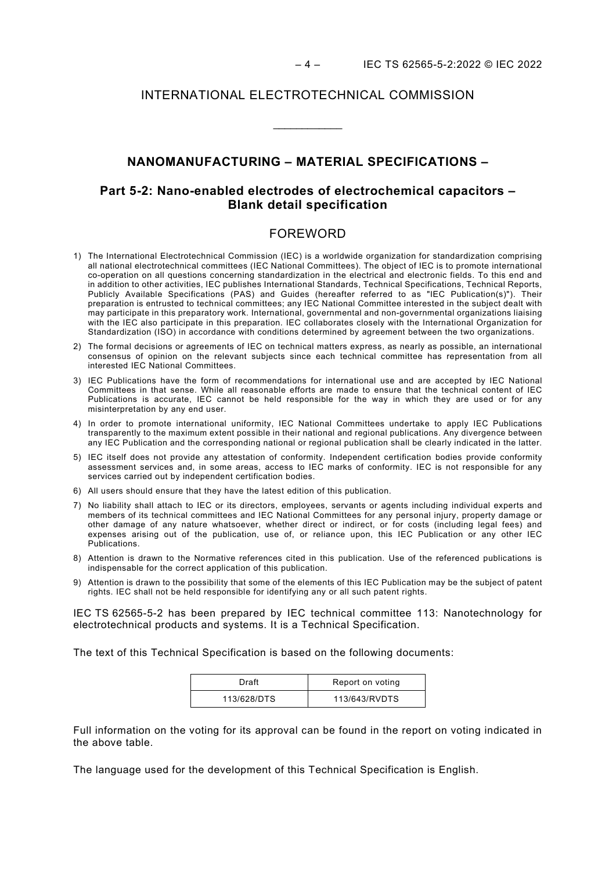#### INTERNATIONAL ELECTROTECHNICAL COMMISSION

# **NANOMANUFACTURING – MATERIAL SPECIFICATIONS –**

\_\_\_\_\_\_\_\_\_\_\_\_

# **Part 5-2: Nano-enabled electrodes of electrochemical capacitors – Blank detail specification**

# FOREWORD

- <span id="page-3-0"></span>1) The International Electrotechnical Commission (IEC) is a worldwide organization for standardization comprising all national electrotechnical committees (IEC National Committees). The object of IEC is to promote international co-operation on all questions concerning standardization in the electrical and electronic fields. To this end and in addition to other activities, IEC publishes International Standards, Technical Specifications, Technical Reports, Publicly Available Specifications (PAS) and Guides (hereafter referred to as "IEC Publication(s)"). Their preparation is entrusted to technical committees; any IEC National Committee interested in the subject dealt with may participate in this preparatory work. International, governmental and non-governmental organizations liaising with the IEC also participate in this preparation. IEC collaborates closely with the International Organization for Standardization (ISO) in accordance with conditions determined by agreement between the two organizations.
- 2) The formal decisions or agreements of IEC on technical matters express, as nearly as possible, an international consensus of opinion on the relevant subjects since each technical committee has representation from all interested IEC National Committees.
- 3) IEC Publications have the form of recommendations for international use and are accepted by IEC National Committees in that sense. While all reasonable efforts are made to ensure that the technical content of IEC Publications is accurate, IEC cannot be held responsible for the way in which they are used or for any misinterpretation by any end user.
- 4) In order to promote international uniformity, IEC National Committees undertake to apply IEC Publications transparently to the maximum extent possible in their national and regional publications. Any divergence between any IEC Publication and the corresponding national or regional publication shall be clearly indicated in the latter.
- 5) IEC itself does not provide any attestation of conformity. Independent certification bodies provide conformity assessment services and, in some areas, access to IEC marks of conformity. IEC is not responsible for any services carried out by independent certification bodies.
- 6) All users should ensure that they have the latest edition of this publication.
- 7) No liability shall attach to IEC or its directors, employees, servants or agents including individual experts and members of its technical committees and IEC National Committees for any personal injury, property damage or other damage of any nature whatsoever, whether direct or indirect, or for costs (including legal fees) and expenses arising out of the publication, use of, or reliance upon, this IEC Publication or any other IEC Publications.
- 8) Attention is drawn to the Normative references cited in this publication. Use of the referenced publications is indispensable for the correct application of this publication.
- 9) Attention is drawn to the possibility that some of the elements of this IEC Publication may be the subject of patent rights. IEC shall not be held responsible for identifying any or all such patent rights.

IEC TS 62565-5-2 has been prepared by IEC technical committee 113: Nanotechnology for electrotechnical products and systems. It is a Technical Specification.

The text of this Technical Specification is based on the following documents:

| Draft       | Report on voting |
|-------------|------------------|
| 113/628/DTS | 113/643/RVDTS    |

Full information on the voting for its approval can be found in the report on voting indicated in the above table.

The language used for the development of this Technical Specification is English.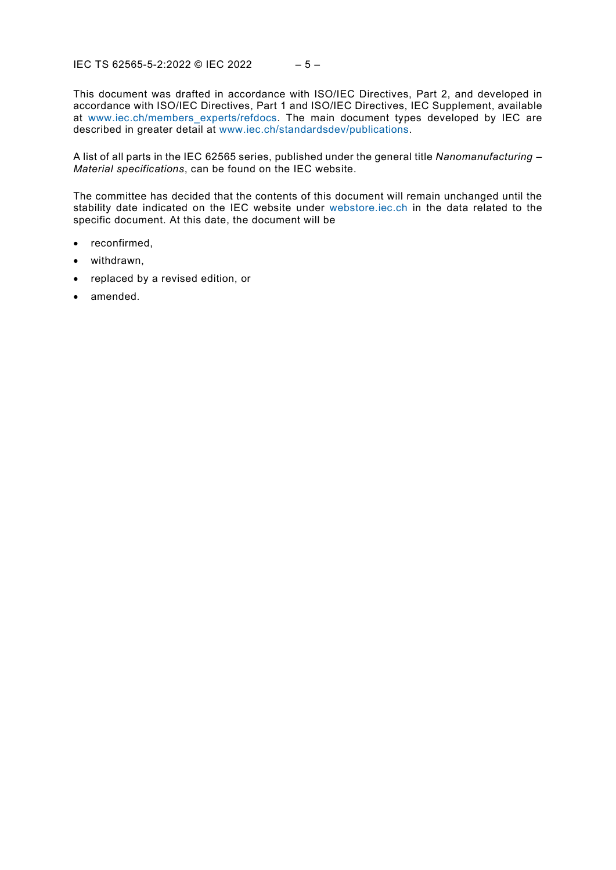This document was drafted in accordance with ISO/IEC Directives, Part 2, and developed in accordance with ISO/IEC Directives, Part 1 and ISO/IEC Directives, IEC Supplement, available at [www.iec.ch/members\\_experts/refdocs.](https://www.iec.ch/members_experts/refdocs) The main document types developed by IEC are described in greater detail at [www.iec.ch/standardsdev/publications.](https://www.iec.ch/standardsdev/publications)

A list of all parts in the IEC 62565 series, published under the general title *Nanomanufacturing – Material specifications*, can be found on the IEC website.

The committee has decided that the contents of this document will remain unchanged until the stability date indicated on the IEC website under [webstore.iec.ch](https://webstore.iec.ch/?ref=menu) in the data related to the specific document. At this date, the document will be

- reconfirmed,
- withdrawn,
- replaced by a revised edition, or
- amended.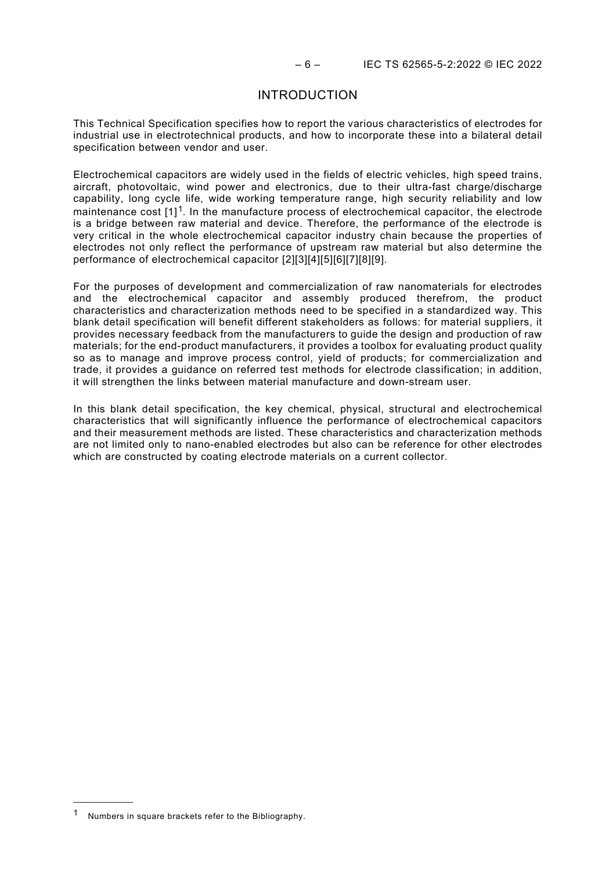#### INTRODUCTION

<span id="page-5-0"></span>This Technical Specification specifies how to report the various characteristics of electrodes for industrial use in electrotechnical products, and how to incorporate these into a bilateral detail specification between vendor and user.

Electrochemical capacitors are widely used in the fields of electric vehicles, high speed trains, aircraft, photovoltaic, wind power and electronics, due to their ultra-fast charge/discharge capability, long cycle life, wide working temperature range, high security reliability and low maintenance cost [1][1.](#page-5-1) In the manufacture process of electrochemical capacitor, the electrode is a bridge between raw material and device. Therefore, the performance of the electrode is very critical in the whole electrochemical capacitor industry chain because the properties of electrodes not only reflect the performance of upstream raw material but also determine the performance of electrochemical capacitor [2][3][4][5][6][7][8][9].

For the purposes of development and commercialization of raw nanomaterials for electrodes and the electrochemical capacitor and assembly produced therefrom, the product characteristics and characterization methods need to be specified in a standardized way. This blank detail specification will benefit different stakeholders as follows: for material suppliers, it provides necessary feedback from the manufacturers to guide the design and production of raw materials; for the end-product manufacturers, it provides a toolbox for evaluating product quality so as to manage and improve process control, yield of products; for commercialization and trade, it provides a guidance on referred test methods for electrode classification; in addition, it will strengthen the links between material manufacture and down-stream user.

In this blank detail specification, the key chemical, physical, structural and electrochemical characteristics that will significantly influence the performance of electrochemical capacitors and their measurement methods are listed. These characteristics and characterization methods are not limited only to nano-enabled electrodes but also can be reference for other electrodes which are constructed by coating electrode materials on a current collector.

 $\overline{\phantom{a}}$   $\overline{\phantom{a}}$   $\overline{\phantom{a}}$   $\overline{\phantom{a}}$   $\overline{\phantom{a}}$   $\overline{\phantom{a}}$   $\overline{\phantom{a}}$   $\overline{\phantom{a}}$   $\overline{\phantom{a}}$   $\overline{\phantom{a}}$   $\overline{\phantom{a}}$   $\overline{\phantom{a}}$   $\overline{\phantom{a}}$   $\overline{\phantom{a}}$   $\overline{\phantom{a}}$   $\overline{\phantom{a}}$   $\overline{\phantom{a}}$   $\overline{\phantom{a}}$   $\overline{\$ 

<span id="page-5-1"></span>Numbers in square brackets refer to the Bibliography.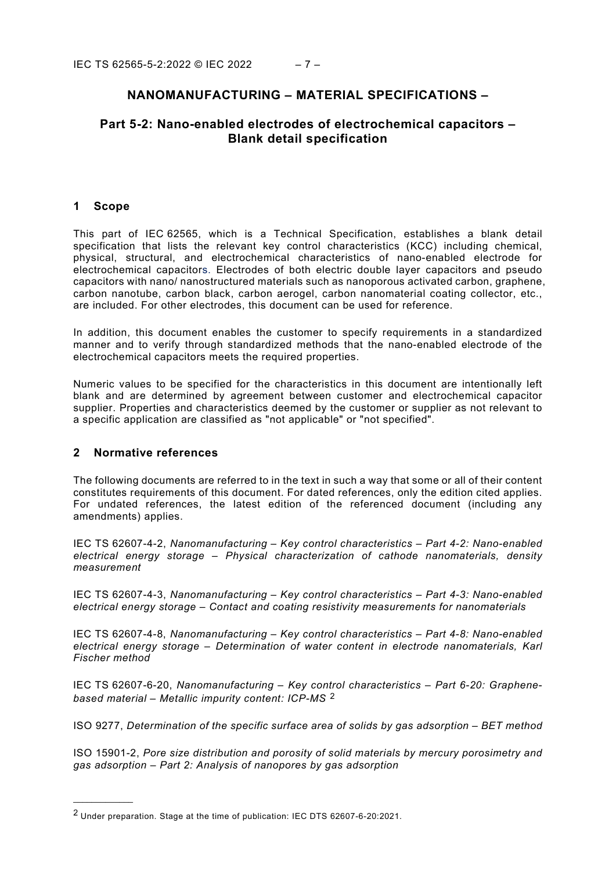# **NANOMANUFACTURING – MATERIAL SPECIFICATIONS –**

# **Part 5-2: Nano-enabled electrodes of electrochemical capacitors – Blank detail specification**

#### <span id="page-6-0"></span>**1 Scope**

This part of IEC 62565, which is a Technical Specification, establishes a blank detail specification that lists the relevant key control characteristics (KCC) including chemical, physical, structural, and electrochemical characteristics of nano-enabled electrode for electrochemical capacitors. Electrodes of both electric double layer capacitors and pseudo capacitors with nano/ nanostructured materials such as nanoporous activated carbon, graphene, carbon nanotube, carbon black, carbon aerogel, carbon nanomaterial coating collector, etc., are included. For other electrodes, this document can be used for reference.

In addition, this document enables the customer to specify requirements in a standardized manner and to verify through standardized methods that the nano-enabled electrode of the electrochemical capacitors meets the required properties.

Numeric values to be specified for the characteristics in this document are intentionally left blank and are determined by agreement between customer and electrochemical capacitor supplier. Properties and characteristics deemed by the customer or supplier as not relevant to a specific application are classified as "not applicable" or "not specified".

#### <span id="page-6-1"></span>**2 Normative references**

 $\overline{\phantom{a}}$   $\overline{\phantom{a}}$   $\overline{\phantom{a}}$   $\overline{\phantom{a}}$   $\overline{\phantom{a}}$   $\overline{\phantom{a}}$   $\overline{\phantom{a}}$   $\overline{\phantom{a}}$   $\overline{\phantom{a}}$   $\overline{\phantom{a}}$   $\overline{\phantom{a}}$   $\overline{\phantom{a}}$   $\overline{\phantom{a}}$   $\overline{\phantom{a}}$   $\overline{\phantom{a}}$   $\overline{\phantom{a}}$   $\overline{\phantom{a}}$   $\overline{\phantom{a}}$   $\overline{\$ 

The following documents are referred to in the text in such a way that some or all of their content constitutes requirements of this document. For dated references, only the edition cited applies. For undated references, the latest edition of the referenced document (including any amendments) applies.

IEC TS 62607-4-2, *Nanomanufacturing – Key control characteristics – Part 4-2: Nano-enabled electrical energy storage – Physical characterization of cathode nanomaterials, density measurement*

IEC TS 62607-4-3, *Nanomanufacturing – Key control characteristics – Part 4-3: Nano-enabled electrical energy storage – Contact and coating resistivity measurements for nanomaterials*

IEC TS 62607-4-8, *Nanomanufacturing – Key control characteristics – Part 4-8: Nano-enabled electrical energy storage – Determination of water content in electrode nanomaterials, Karl Fischer method*

IEC TS 62607-6-20, *Nanomanufacturing – Key control characteristics – Part 6-20: Graphenebased material – Metallic impurity content: ICP-MS* [2](#page-6-2)

ISO 9277, *Determination of the specific surface area of solids by gas adsorption – BET method*

ISO 15901-2, *Pore size distribution and porosity of solid materials by mercury porosimetry and gas adsorption – Part 2: Analysis of nanopores by gas adsorption*

<span id="page-6-2"></span><sup>2</sup> Under preparation. Stage at the time of publication: IEC DTS 62607-6-20:2021.